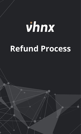## vhnx **Refund Process**

The final market and its leveraged products are complex instruments that complex instruments  $\mathcal{L}$  $\mathcal{N}$  of trading accounts lose investments when using leveraged products. You should not invest more than  $\mathcal{N}$ prepared to lose. Considering your market experience and knowledge is very important before using our services. By using the

services of VHNX.com, you affine with the terms agreement with the terms and accept all the risks involved.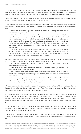1. The Company is affiliated with different financial institutions, including payment service providers, banks, and merchants. Given the commercial affiliation, the main objective of the Refund Process is to implement a systematic method of returning the Client's funds in conformity with the relevant affiliates' terms of use.

2. Indicated herein are the orderly procedures of how the Client can file a refund, the conditions for processing the return of funds, and what to anticipate upon approved request.

3. The Company invokes its right to reject or cancel the Client's refund request if his/her trading account does not qualify for a refund process. The Company will approve the refund request if the following conditions are met:

A.) The Client must not have any existing investments, trades, and orders placed in the trading account when filing for a refund.

B.) If the Client intends for a return of funds, he/she must not have any existing obligations arising from a contract or agreement with the Company, including the established Terms of Use. Where there are current or unfulfilled dues, refunds shall be rejected by the Company.

C.) As a means to file for a refund, there must be no investigations underway in the Client's trading account resulting from the Terms of Use. If the Client has an ongoing conflict with any relevant party within the operations of VHNX.com, the Company has the right to reject the refund entirely.

D.) The Client must have no priors in terms of breaching contracts and agreements. Trading accounts that have been suspended or violated the Terms of Use will not be eligible to receive a refund. Violations include abuse of the Client's limited rights with the trading services and non-compliance with any official agreement with the Company.

4. While the Company may process the Client's refund as requested in good faith, the Company invokes its right to reject and cancel any fund returns if any of the following instances occur:

A.) The Company is not obligated to provide a refund in case of damage or loss due to foreseen or unforeseen market events.

B.) Refunds made with inappropriate intentions will be rejected, especially if conflicting with the Terms of Use and other agreements.

C.) If the amount of the filed refund is more than the Client's capital, it shall be canceled entirely. The Client agrees that returning funds shall only be in the same amount as his/her initial deposit.

D.) The Company may require documents or information, including the Client's bank details, to process refunds completely. If the Client does not comply with such a requirement, the Company has the right to cancel the refund request.

5. The same payment method used for the deposit can be used for the refund in full amount. Supposing that the deposit method is unavailable, the Company may offer different ways to return the funds. In this case, the Client agrees to be bound by the relevant merchant's terms of use.

6. The Company will process eligible refunds up to ten working days, and the request's status can be found on the Client's account. Once the process of returning funds is completed by the Company, receiving it may still take up to seven days due to reverts in the merchant's cash flow. The Company is not liable for the exceeding days after completing the refund process and shall be acknowledged by the Client as part of the merchant's terms.

7. The Company will not charge processed refunds with fees, but the Client must consider that it might not be without cost at all times. Some banks or merchants that the Client uses can charge him/her with fees as applicable, which is beyond the Company's control.

8. Above all, once the Company has completed transferring the funds to the relevant bank or merchant, the Company reserves the right to terminate the Client's trading account entirely and refuse future transactions therein.

The financial market and its leveraged products are complex instruments that come with a high risk of potentially losing capital. More than 73% of trading accounts lose investments when using leveraged products. You should not invest more than you are prepared to lose. Considering your market experience and knowledge is very important before using our services. By using the services of VHNX.com, you affirm your agreement with the terms and conditions and accept all the risks involved.